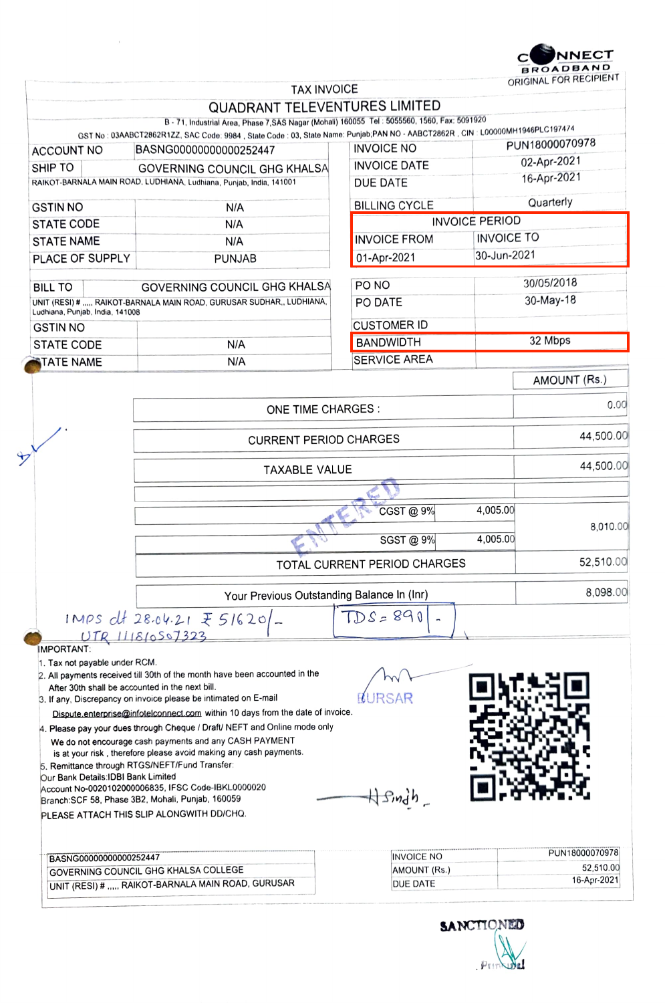

|                                                                      | <b>TAX INVOICE</b>                                                                                                               |                                            |                       | ORIGINAL FOR RECIPIENT |  |
|----------------------------------------------------------------------|----------------------------------------------------------------------------------------------------------------------------------|--------------------------------------------|-----------------------|------------------------|--|
|                                                                      | <b>QUADRANT TELEVENTURES LIMITED</b>                                                                                             |                                            |                       |                        |  |
|                                                                      | B - 71, Industrial Area, Phase 7, SAS Nagar (Mohali) 160055 Tel: 5055560, 1560, Fax: 5091920                                     |                                            |                       |                        |  |
|                                                                      | GST No : 03AABCT2862R1ZZ, SAC Code: 9984 , State Code : 03, State Name: Punjab;PAN NO - AABCT2862R , CIN : L00000MH1946PLC197474 |                                            |                       | PUN18000070978         |  |
| <b>ACCOUNT NO</b>                                                    | BASNG00000000000252447                                                                                                           | <b>INVOICE NO</b>                          |                       | 02-Apr-2021            |  |
| SHIP TO                                                              | <b>GOVERNING COUNCIL GHG KHALSA</b>                                                                                              | <b>INVOICE DATE</b>                        |                       | 16-Apr-2021            |  |
|                                                                      | RAIKOT-BARNALA MAIN ROAD, LUDHIANA, Ludhiana, Punjab, India, 141001                                                              | DUE DATE                                   |                       |                        |  |
| <b>GSTIN NO</b>                                                      | N/A                                                                                                                              | <b>BILLING CYCLE</b>                       |                       | Quarterly              |  |
| <b>STATE CODE</b>                                                    | N/A                                                                                                                              |                                            | <b>INVOICE PERIOD</b> |                        |  |
| <b>STATE NAME</b>                                                    | N/A                                                                                                                              | <b>INVOICE FROM</b>                        |                       | <b>INVOICE TO</b>      |  |
| PLACE OF SUPPLY                                                      | <b>PUNJAB</b>                                                                                                                    | 01-Apr-2021                                | 30-Jun-2021           |                        |  |
| <b>BILL TO</b>                                                       | <b>GOVERNING COUNCIL GHG KHALSA</b>                                                                                              | PO NO                                      |                       | 30/05/2018             |  |
| UNIT (RESI) # , RAIKOT-BARNALA MAIN ROAD, GURUSAR SUDHAR,, LUDHIANA, |                                                                                                                                  | PO DATE                                    |                       | 30-May-18              |  |
| Ludhiana, Punjab, India, 141008                                      |                                                                                                                                  |                                            |                       |                        |  |
| <b>GSTIN NO</b>                                                      |                                                                                                                                  | <b>CUSTOMER ID</b>                         |                       |                        |  |
| <b>STATE CODE</b>                                                    | N/A                                                                                                                              | <b>BANDWIDTH</b>                           |                       | 32 Mbps                |  |
| <b>TATE NAME</b>                                                     | N/A                                                                                                                              | <b>SERVICE AREA</b>                        |                       |                        |  |
|                                                                      |                                                                                                                                  |                                            |                       | AMOUNT (Rs.)           |  |
|                                                                      | ONE TIME CHARGES :                                                                                                               |                                            |                       | 0.00                   |  |
|                                                                      | <b>CURRENT PERIOD CHARGES</b>                                                                                                    |                                            |                       | 44,500.00              |  |
|                                                                      | <b>TAXABLE VALUE</b>                                                                                                             |                                            |                       | 44,500.00              |  |
|                                                                      |                                                                                                                                  |                                            |                       |                        |  |
|                                                                      |                                                                                                                                  |                                            |                       |                        |  |
|                                                                      |                                                                                                                                  | CGST @ 9%                                  | 4,005.00              |                        |  |
|                                                                      |                                                                                                                                  | SGST @ 9%                                  | 4,005.00              | 8,010.00               |  |
|                                                                      | TOTAL CURRENT PERIOD CHARGES                                                                                                     |                                            |                       | 52,510.00              |  |
|                                                                      |                                                                                                                                  |                                            |                       |                        |  |
|                                                                      |                                                                                                                                  | Your Previous Outstanding Balance In (Inr) |                       |                        |  |
|                                                                      | $1MPS$ dt 28.04.21 $\bar{z}$ 5/620/-                                                                                             | $TDS = 890$                                |                       |                        |  |
| IMPORTANT:                                                           | UTR111810507323                                                                                                                  |                                            |                       |                        |  |
| 1. Tax not payable under RCM.                                        |                                                                                                                                  |                                            |                       |                        |  |
|                                                                      | 2. All payments received till 30th of the month have been accounted in the                                                       |                                            |                       |                        |  |
|                                                                      | After 30th shall be accounted in the next bill.<br>3. If any, Discrepancy on invoice please be intimated on E-mail               |                                            |                       |                        |  |
|                                                                      | Dispute.enterprise@infotelconnect.com within 10 days from the date of invoice.                                                   |                                            |                       |                        |  |
|                                                                      | 4. Please pay your dues through Cheque / Draft/ NEFT and Online mode only                                                        |                                            |                       |                        |  |
|                                                                      | We do not encourage cash payments and any CASH PAYMENT                                                                           |                                            |                       |                        |  |
|                                                                      | is at your risk, therefore please avoid making any cash payments.                                                                |                                            |                       |                        |  |
| Our Bank Details: IDBI Bank Limited                                  | 5. Remittance through RTGS/NEFT/Fund Transfer:                                                                                   |                                            |                       |                        |  |
|                                                                      | Account No-0020102000006835, IFSC Code-IBKL0000020                                                                               |                                            |                       |                        |  |
|                                                                      | Branch: SCF 58, Phase 3B2, Mohali, Punjab, 160059                                                                                | H Singh-                                   |                       |                        |  |
|                                                                      | PLEASE ATTACH THIS SLIP ALONGWITH DD/CHQ.                                                                                        |                                            |                       |                        |  |
|                                                                      |                                                                                                                                  |                                            |                       | PUN18000070978         |  |
| BASNG00000000000252447                                               | GOVERNING COUNCIL GHG KHALSA COLLEGE                                                                                             | <b>INVOICE NO</b><br>AMOUNT (Rs.)          |                       | 52,510.00              |  |
|                                                                      |                                                                                                                                  |                                            |                       |                        |  |
|                                                                      | UNIT (RESI) #  RAIKOT-BARNALA MAIN ROAD, GURUSAR                                                                                 | DUE DATE                                   |                       | 16-Apr-2021            |  |